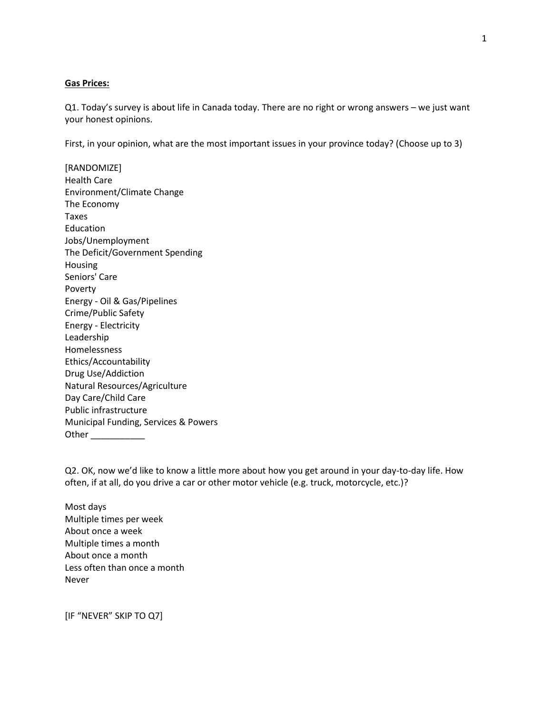# **Gas Prices:**

Q1. Today's survey is about life in Canada today. There are no right or wrong answers – we just want your honest opinions.

First, in your opinion, what are the most important issues in your province today? (Choose up to 3)

[RANDOMIZE] Health Care Environment/Climate Change The Economy Taxes Education Jobs/Unemployment The Deficit/Government Spending Housing Seniors' Care Poverty Energy - Oil & Gas/Pipelines Crime/Public Safety Energy - Electricity Leadership Homelessness Ethics/Accountability Drug Use/Addiction Natural Resources/Agriculture Day Care/Child Care Public infrastructure Municipal Funding, Services & Powers Other \_\_\_\_\_\_\_\_\_\_\_

Q2. OK, now we'd like to know a little more about how you get around in your day-to-day life. How often, if at all, do you drive a car or other motor vehicle (e.g. truck, motorcycle, etc.)?

Most days Multiple times per week About once a week Multiple times a month About once a month Less often than once a month Never

[IF "NEVER" SKIP TO Q7]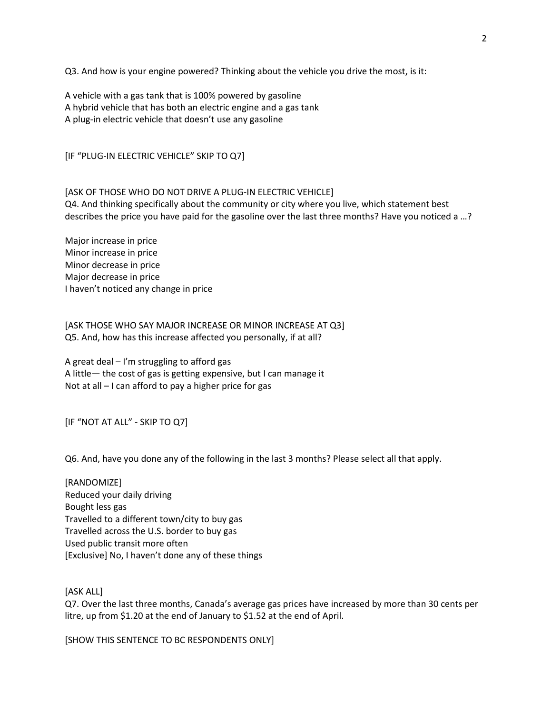Q3. And how is your engine powered? Thinking about the vehicle you drive the most, is it:

A vehicle with a gas tank that is 100% powered by gasoline A hybrid vehicle that has both an electric engine and a gas tank A plug-in electric vehicle that doesn't use any gasoline

[IF "PLUG-IN ELECTRIC VEHICLE" SKIP TO Q7]

[ASK OF THOSE WHO DO NOT DRIVE A PLUG-IN ELECTRIC VEHICLE] Q4. And thinking specifically about the community or city where you live, which statement best describes the price you have paid for the gasoline over the last three months? Have you noticed a …?

Major increase in price Minor increase in price Minor decrease in price Major decrease in price I haven't noticed any change in price

[ASK THOSE WHO SAY MAJOR INCREASE OR MINOR INCREASE AT Q3] Q5. And, how has this increase affected you personally, if at all?

A great deal – I'm struggling to afford gas A little— the cost of gas is getting expensive, but I can manage it Not at all – I can afford to pay a higher price for gas

[IF "NOT AT ALL" - SKIP TO Q7]

Q6. And, have you done any of the following in the last 3 months? Please select all that apply.

[RANDOMIZE] Reduced your daily driving Bought less gas Travelled to a different town/city to buy gas Travelled across the U.S. border to buy gas Used public transit more often [Exclusive] No, I haven't done any of these things

[ASK ALL]

Q7. Over the last three months, Canada's average gas prices have increased by more than 30 cents per litre, up from \$1.20 at the end of January to \$1.52 at the end of April.

[SHOW THIS SENTENCE TO BC RESPONDENTS ONLY]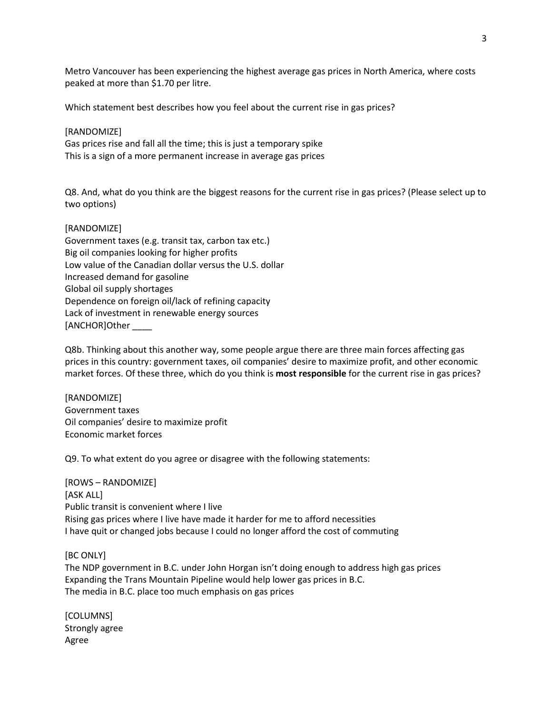Metro Vancouver has been experiencing the highest average gas prices in North America, where costs peaked at more than \$1.70 per litre.

Which statement best describes how you feel about the current rise in gas prices?

### [RANDOMIZE]

Gas prices rise and fall all the time; this is just a temporary spike This is a sign of a more permanent increase in average gas prices

Q8. And, what do you think are the biggest reasons for the current rise in gas prices? (Please select up to two options)

# [RANDOMIZE]

| Government taxes (e.g. transit tax, carbon tax etc.)    |
|---------------------------------------------------------|
| Big oil companies looking for higher profits            |
| Low value of the Canadian dollar versus the U.S. dollar |
| Increased demand for gasoline                           |
| Global oil supply shortages                             |
| Dependence on foreign oil/lack of refining capacity     |
| Lack of investment in renewable energy sources          |
| [ANCHOR]Other                                           |

Q8b. Thinking about this another way, some people argue there are three main forces affecting gas prices in this country: government taxes, oil companies' desire to maximize profit, and other economic market forces. Of these three, which do you think is **most responsible** for the current rise in gas prices?

[RANDOMIZE] Government taxes Oil companies' desire to maximize profit Economic market forces

Q9. To what extent do you agree or disagree with the following statements:

[ROWS – RANDOMIZE] [ASK ALL] Public transit is convenient where I live Rising gas prices where I live have made it harder for me to afford necessities I have quit or changed jobs because I could no longer afford the cost of commuting

# [BC ONLY]

The NDP government in B.C. under John Horgan isn't doing enough to address high gas prices Expanding the Trans Mountain Pipeline would help lower gas prices in B.C. The media in B.C. place too much emphasis on gas prices

[COLUMNS] Strongly agree Agree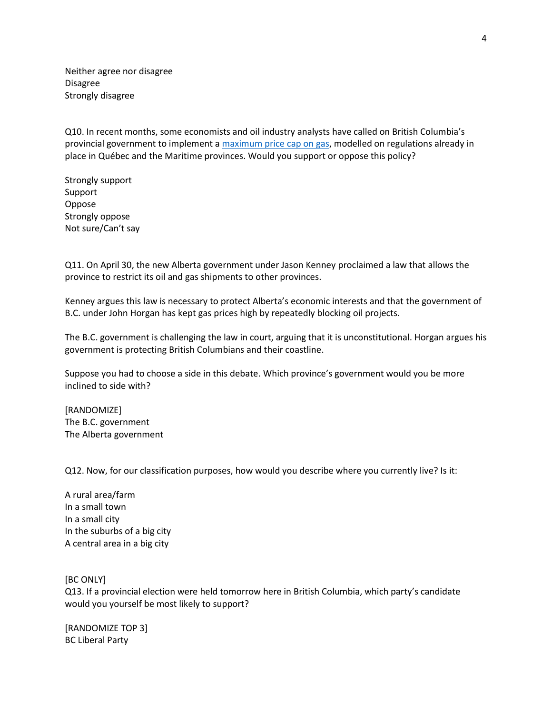Neither agree nor disagree Disagree Strongly disagree

Q10. In recent months, some economists and oil industry analysts have called on British Columbia's provincial government to implement a [maximum price cap on gas,](https://globalnews.ca/news/5197931/regulate-gas-gouging-bc/) modelled on regulations already in place in Québec and the Maritime provinces. Would you support or oppose this policy?

Strongly support Support Oppose Strongly oppose Not sure/Can't say

Q11. On April 30, the new Alberta government under Jason Kenney proclaimed a law that allows the province to restrict its oil and gas shipments to other provinces.

Kenney argues this law is necessary to protect Alberta's economic interests and that the government of B.C. under John Horgan has kept gas prices high by repeatedly blocking oil projects.

The B.C. government is challenging the law in court, arguing that it is unconstitutional. Horgan argues his government is protecting British Columbians and their coastline.

Suppose you had to choose a side in this debate. Which province's government would you be more inclined to side with?

[RANDOMIZE] The B.C. government The Alberta government

Q12. Now, for our classification purposes, how would you describe where you currently live? Is it:

A rural area/farm In a small town In a small city In the suburbs of a big city A central area in a big city

[BC ONLY]

Q13. If a provincial election were held tomorrow here in British Columbia, which party's candidate would you yourself be most likely to support?

[RANDOMIZE TOP 3] BC Liberal Party